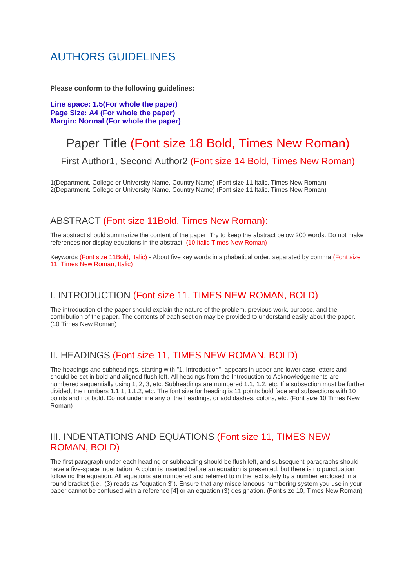# AUTHORS GUIDELINES

**Please conform to the following guidelines:**

**Line space: 1.5(For whole the paper) Page Size: A4 (For whole the paper) Margin: Normal (For whole the paper)**

# Paper Title (Font size 18 Bold, Times New Roman)

First Author1, Second Author2 (Font size 14 Bold, Times New Roman)

1(Department, College or University Name, Country Name) (Font size 11 Italic, Times New Roman) 2(Department, College or University Name, Country Name) (Font size 11 Italic, Times New Roman)

### ABSTRACT (Font size 11Bold, Times New Roman):

The abstract should summarize the content of the paper. Try to keep the abstract below 200 words. Do not make references nor display equations in the abstract. (10 Italic Times New Roman)

Keywords (Font size 11Bold, Italic) - About five key words in alphabetical order, separated by comma (Font size 11, Times New Roman, Italic)

### I. INTRODUCTION (Font size 11, TIMES NEW ROMAN, BOLD)

The introduction of the paper should explain the nature of the problem, previous work, purpose, and the contribution of the paper. The contents of each section may be provided to understand easily about the paper. (10 Times New Roman)

### II. HEADINGS (Font size 11, TIMES NEW ROMAN, BOLD)

The headings and subheadings, starting with "1. Introduction", appears in upper and lower case letters and should be set in bold and aligned flush left. All headings from the Introduction to Acknowledgements are numbered sequentially using 1, 2, 3, etc. Subheadings are numbered 1.1, 1.2, etc. If a subsection must be further divided, the numbers 1.1.1, 1.1.2, etc. The font size for heading is 11 points bold face and subsections with 10 points and not bold. Do not underline any of the headings, or add dashes, colons, etc. (Font size 10 Times New Roman)

### III. INDENTATIONS AND EQUATIONS (Font size 11, TIMES NEW ROMAN, BOLD)

The first paragraph under each heading or subheading should be flush left, and subsequent paragraphs should have a five-space indentation. A colon is inserted before an equation is presented, but there is no punctuation following the equation. All equations are numbered and referred to in the text solely by a number enclosed in a round bracket (i.e., (3) reads as "equation 3"). Ensure that any miscellaneous numbering system you use in your paper cannot be confused with a reference [4] or an equation (3) designation. (Font size 10, Times New Roman)